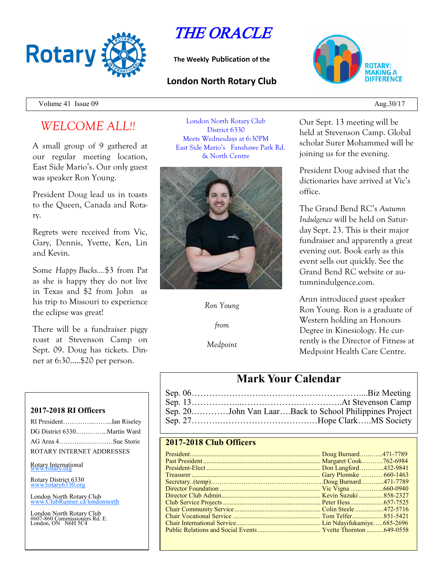

THE ORACLE

**The Weekly Publication of the**

### **London North Rotary Club**



Volume 41 Issue  $09 \qquad \qquad \text{Aug.}30/17$ 

# *WELCOME ALL!!*

A small group of 9 gathered at our regular meeting location, East Side Mario's. Our only guest was speaker Ron Young.

President Doug lead us in toasts to the Queen, Canada and Rotary.

Regrets were received from Vic, Gary, Dennis, Yvette, Ken, Lin and Kevin.

Some *Happy Bucks….*\$3 from Pat as she is happy they do not live in Texas and \$2 from John as his trip to Missouri to experience the eclipse was great!

There will be a fundraiser piggy roast at Stevenson Camp on Sept. 09. Doug has tickets. Dinner at 6:30…..\$20 per person.

#### **2017-2018 RI Officers**

| RI PresidentIan Riseley     |  |
|-----------------------------|--|
| DG District 6330Martin Ward |  |
| AG Area 4Sue Storie         |  |
| ROTARY INTERNET ADDRESSES   |  |

Rotary International

Rotary District 6330 [www.rotary6330.org](http://www.rotary6330.org/)

London North Rotary Club  $T$ ubRunner.ca/londonnorth

London North Rotary Club #607-860 Commissioners Rd. E. London, ON N6H 5C4

London North Rotary Club District 6330 Meets Wednesdays at 6:30PM East Side Mario's Fanshawe Park Rd. & North Centre



*Ron Young*

*from*

*Medpoint*

Our Sept. 13 meeting will be held at Stevenson Camp. Global scholar Surer Mohammed will be joining us for the evening.

President Doug advised that the dictionaries have arrived at Vic's office.

The Grand Bend RC's *Autumn Indulgence* will be held on Saturday Sept. 23. This is their major fundraiser and apparently a great evening out. Book early as this event sells out quickly. See the Grand Bend RC website or autumnindulgence.com.

Arun introduced guest speaker Ron Young. Ron is a graduate of Western holding an Honours Degree in Kinesiology. He currently is the Director of Fitness at Medpoint Health Care Centre.

## **Mark Your Calendar**

| Sep. 20John Van LaarBack to School Philippines Project |
|--------------------------------------------------------|
|                                                        |

### **2017-2018 Club Officers**